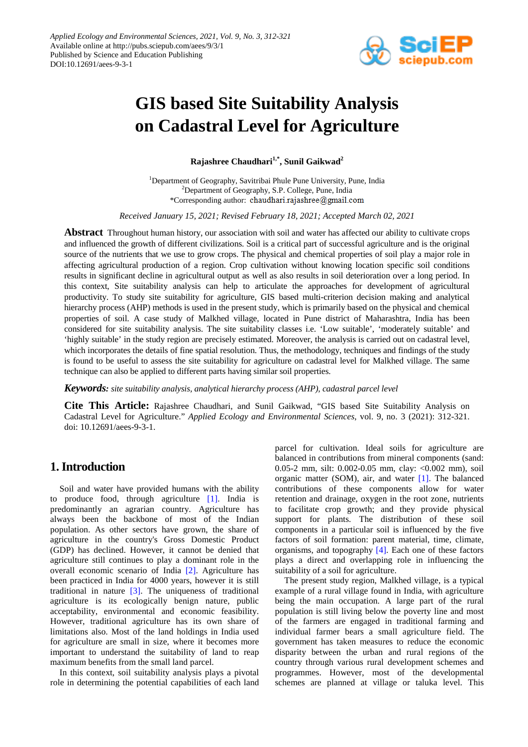

# **GIS based Site Suitability Analysis on Cadastral Level for Agriculture**

**Rajashree Chaudhari1,\*, Sunil Gaikwad2**

<sup>1</sup>Department of Geography, Savitribai Phule Pune University, Pune, India <sup>2</sup>Department of Geography, S.P. College, Pune, India \*Corresponding author: chaudhari.rajashree@gmail.com

*Received January 15, 2021; Revised February 18, 2021; Accepted March 02, 2021*

**Abstract** Throughout human history, our association with soil and water has affected our ability to cultivate crops and influenced the growth of different civilizations. Soil is a critical part of successful agriculture and is the original source of the nutrients that we use to grow crops. The physical and chemical properties of soil play a major role in affecting agricultural production of a region. Crop cultivation without knowing location specific soil conditions results in significant decline in agricultural output as well as also results in soil deterioration over a long period. In this context, Site suitability analysis can help to articulate the approaches for development of agricultural productivity. To study site suitability for agriculture, GIS based multi-criterion decision making and analytical hierarchy process (AHP) methods is used in the present study, which is primarily based on the physical and chemical properties of soil. A case study of Malkhed village, located in Pune district of Maharashtra, India has been considered for site suitability analysis. The site suitability classes i.e. 'Low suitable', 'moderately suitable' and 'highly suitable' in the study region are precisely estimated. Moreover, the analysis is carried out on cadastral level, which incorporates the details of fine spatial resolution. Thus, the methodology, techniques and findings of the study is found to be useful to assess the site suitability for agriculture on cadastral level for Malkhed village. The same technique can also be applied to different parts having similar soil properties.

*Keywords: site suitability analysis, analytical hierarchy process (AHP), cadastral parcel level*

**Cite This Article:** Rajashree Chaudhari, and Sunil Gaikwad, "GIS based Site Suitability Analysis on Cadastral Level for Agriculture." *Applied Ecology and Environmental Sciences*, vol. 9, no. 3 (2021): 312-321. doi: 10.12691/aees-9-3-1.

# **1. Introduction**

Soil and water have provided humans with the ability to produce food, through agriculture [\[1\].](#page-8-0) India is predominantly an agrarian country. Agriculture has always been the backbone of most of the Indian population. As other sectors have grown, the share of agriculture in the country's Gross Domestic Product (GDP) has declined. However, it cannot be denied that agriculture still continues to play a dominant role in the overall economic scenario of India [\[2\].](#page-8-1) Agriculture has been practiced in India for 4000 years, however it is still traditional in nature  $[3]$ . The uniqueness of traditional agriculture is its ecologically benign nature, public acceptability, environmental and economic feasibility. However, traditional agriculture has its own share of limitations also. Most of the land holdings in India used for agriculture are small in size, where it becomes more important to understand the suitability of land to reap maximum benefits from the small land parcel.

In this context, soil suitability analysis plays a pivotal role in determining the potential capabilities of each land parcel for cultivation. Ideal soils for agriculture are balanced in contributions from mineral components (sand: 0.05-2 mm, silt: 0.002-0.05 mm, clay: <0.002 mm), soil organic matter (SOM), air, and water [\[1\].](#page-8-0) The balanced contributions of these components allow for water retention and drainage, oxygen in the root zone, nutrients to facilitate crop growth; and they provide physical support for plants. The distribution of these soil components in a particular soil is influenced by the five factors of soil formation: parent material, time, climate, organisms, and topography [\[4\].](#page-8-3) Each one of these factors plays a direct and overlapping role in influencing the suitability of a soil for agriculture.

The present study region, Malkhed village, is a typical example of a rural village found in India, with agriculture being the main occupation. A large part of the rural population is still living below the poverty line and most of the farmers are engaged in traditional farming and individual farmer bears a small agriculture field. The government has taken measures to reduce the economic disparity between the urban and rural regions of the country through various rural development schemes and programmes. However, most of the developmental schemes are planned at village or taluka level. This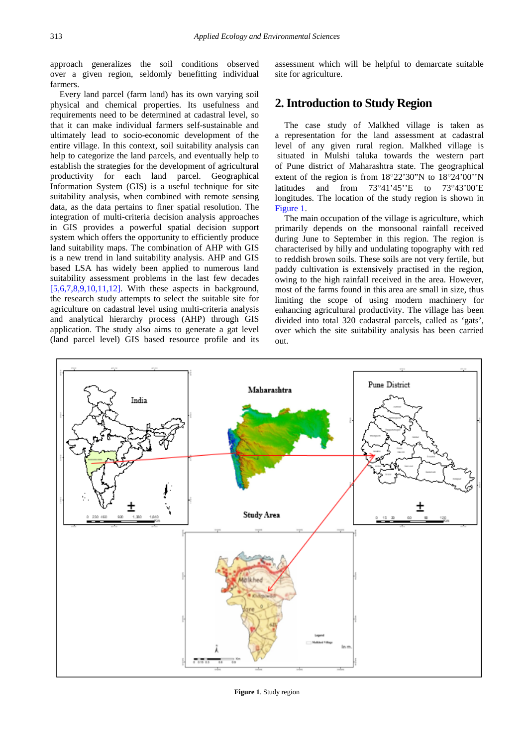approach generalizes the soil conditions observed over a given region, seldomly benefitting individual farmers.

Every land parcel (farm land) has its own varying soil physical and chemical properties. Its usefulness and requirements need to be determined at cadastral level, so that it can make individual farmers self-sustainable and ultimately lead to socio-economic development of the entire village. In this context, soil suitability analysis can help to categorize the land parcels, and eventually help to establish the strategies for the development of agricultural productivity for each land parcel. Geographical Information System (GIS) is a useful technique for site suitability analysis, when combined with remote sensing data, as the data pertains to finer spatial resolution. The integration of multi-criteria decision analysis approaches in GIS provides a powerful spatial decision support system which offers the opportunity to efficiently produce land suitability maps. The combination of AHP with GIS is a new trend in land suitability analysis. AHP and GIS based LSA has widely been applied to numerous land suitability assessment problems in the last few decades [\[5,6,7,8,9,10,11,12\].](#page-8-4) With these aspects in background, the research study attempts to select the suitable site for agriculture on cadastral level using multi-criteria analysis and analytical hierarchy process (AHP) through GIS application. The study also aims to generate a gat level (land parcel level) GIS based resource profile and its

assessment which will be helpful to demarcate suitable site for agriculture.

## **2. Introduction to Study Region**

The case study of Malkhed village is taken as a representation for the land assessment at cadastral level of any given rural region. Malkhed village is situated in Mulshi taluka towards the western part of Pune district of Maharashtra state. The geographical extent of the region is from 18°22'30"N to 18°24'00''N latitudes and from 73°41'45''E to 73°43'00'E longitudes. The location of the study region is shown in [Figure 1.](#page-1-0)

The main occupation of the village is agriculture, which primarily depends on the monsoonal rainfall received during June to September in this region. The region is characterised by hilly and undulating topography with red to reddish brown soils. These soils are not very fertile, but paddy cultivation is extensively practised in the region, owing to the high rainfall received in the area. However, most of the farms found in this area are small in size, thus limiting the scope of using modern machinery for enhancing agricultural productivity. The village has been divided into total 320 cadastral parcels, called as 'gats', over which the site suitability analysis has been carried out.

<span id="page-1-0"></span>

**Figure 1**. Study region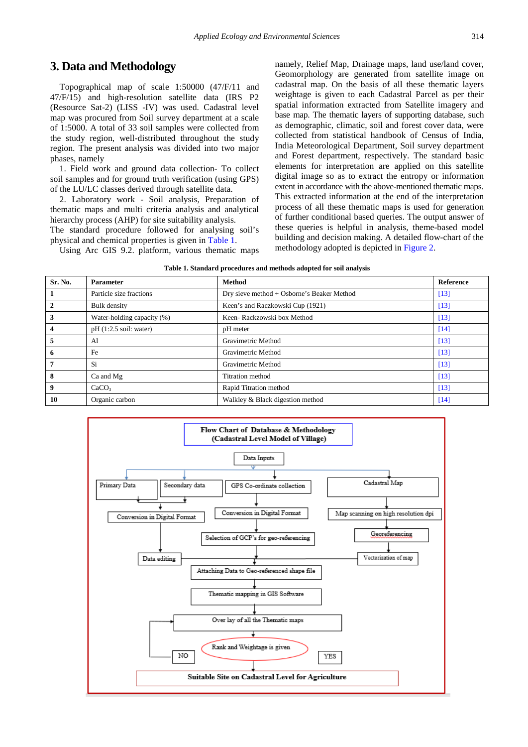## **3. Data and Methodology**

Topographical map of scale 1:50000 (47/F/11 and 47/F/15) and high-resolution satellite data (IRS P2 (Resource Sat-2) (LISS -IV) was used. Cadastral level map was procured from Soil survey department at a scale of 1:5000. A total of 33 soil samples were collected from the study region, well-distributed throughout the study region. The present analysis was divided into two major phases, namely

1. Field work and ground data collection- To collect soil samples and for ground truth verification (using GPS) of the LU/LC classes derived through satellite data.

2. Laboratory work - Soil analysis, Preparation of thematic maps and multi criteria analysis and analytical hierarchy process (AHP) for site suitability analysis.

The standard procedure followed for analysing soil's physical and chemical properties is given i[n Table 1.](#page-2-0)

Using Arc GIS 9.2. platform, various thematic maps

namely, Relief Map, Drainage maps, land use/land cover, Geomorphology are generated from satellite image on cadastral map. On the basis of all these thematic layers weightage is given to each Cadastral Parcel as per their spatial information extracted from Satellite imagery and base map. The thematic layers of supporting database, such as demographic, climatic, soil and forest cover data, were collected from statistical handbook of Census of India, India Meteorological Department, Soil survey department and Forest department, respectively. The standard basic elements for interpretation are applied on this satellite digital image so as to extract the entropy or information extent in accordance with the above-mentioned thematic maps. This extracted information at the end of the interpretation process of all these thematic maps is used for generation of further conditional based queries. The output answer of these queries is helpful in analysis, theme-based model building and decision making. A detailed flow-chart of the methodology adopted is depicted in [Figure 2.](#page-2-1)

<span id="page-2-0"></span>

| Sr. No. | <b>Parameter</b>           | <b>Method</b>                              | <b>Reference</b> |
|---------|----------------------------|--------------------------------------------|------------------|
|         | Particle size fractions    | Dry sieve method + Osborne's Beaker Method | [13]             |
|         | <b>Bulk</b> density        | Keen's and Raczkowski Cup (1921)           | $[13]$           |
| 3       | Water-holding capacity (%) | Keen-Rackzowski box Method                 | [13]             |
|         | $pH(1:2.5)$ soil: water)   | pH meter                                   | [14]             |
| 5       | A1                         | Gravimetric Method                         | $[13]$           |
| 6       | Fe                         | Gravimetric Method                         | [13]             |
|         | Si                         | Gravimetric Method                         | [13]             |
| 8       | Ca and Mg                  | Titration method                           | [13]             |
| 9       | CaCO <sub>3</sub>          | Rapid Titration method                     | $[13]$           |
| 10      | Organic carbon             | Walkley & Black digestion method           | [14]             |

<span id="page-2-1"></span>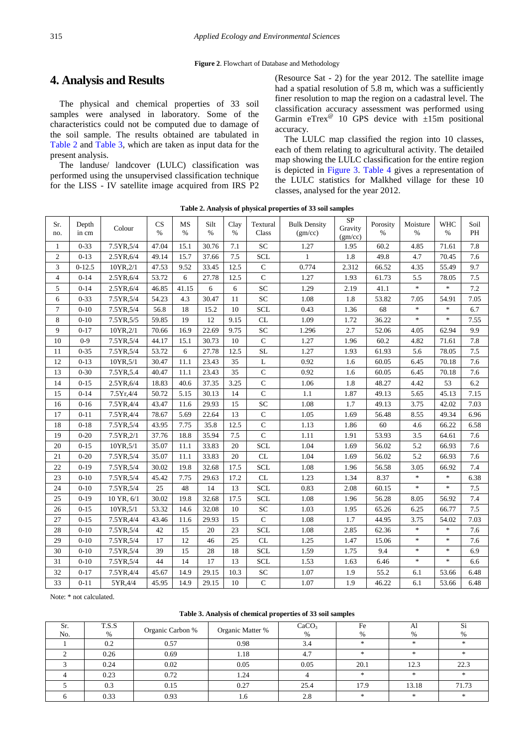# **4. Analysis and Results**

The physical and chemical properties of 33 soil samples were analysed in laboratory. Some of the characteristics could not be computed due to damage of the soil sample. The results obtained are tabulated in [Table 2](#page-3-0) and [Table 3,](#page-3-1) which are taken as input data for the present analysis.

The landuse/ landcover (LULC) classification was performed using the unsupervised classification technique for the LISS - IV satellite image acquired from IRS P2 (Resource Sat - 2) for the year 2012. The satellite image had a spatial resolution of 5.8 m, which was a sufficiently finer resolution to map the region on a cadastral level. The classification accuracy assessment was performed using Garmin eTrex<sup>®</sup> 10 GPS device with  $\pm 15$ m positional accuracy.

The LULC map classified the region into 10 classes, each of them relating to agricultural activity. The detailed map showing the LULC classification for the entire region is depicted in [Figure 3.](#page-4-0) [Table 4](#page-5-0) gives a representation of the LULC statistics for Malkhed village for these 10 classes, analysed for the year 2012.

<span id="page-3-0"></span>

| Sr.<br>no.     | Depth<br>in cm | Colour     | CS<br>$\frac{0}{0}$ | MS<br>$\frac{0}{0}$ | Silt<br>$\%$ | Clay<br>$\%$ | Textural<br>Class | <b>Bulk Density</b><br>(gm/cc) | <b>SP</b><br>Gravity<br>(gm/cc) | Porosity<br>$\%$ | Moisture<br>$\frac{0}{0}$         | <b>WHC</b><br>$\%$ | Soil<br>PH |
|----------------|----------------|------------|---------------------|---------------------|--------------|--------------|-------------------|--------------------------------|---------------------------------|------------------|-----------------------------------|--------------------|------------|
| $\mathbf{1}$   | $0 - 33$       | 7.5YR, 5/4 | 47.04               | 15.1                | 30.76        | 7.1          | SC                | 1.27                           | 1.95                            | 60.2             | 4.85                              | 71.61              | 7.8        |
| $\mathfrak{2}$ | $0-13$         | 2.5YR, 6/4 | 49.14               | 15.7                | 37.66        | 7.5          | <b>SCL</b>        | 1                              | 1.8                             | 49.8             | 4.7                               | 70.45              | 7.6        |
| 3              | $0-12.5$       | 10YR, 2/1  | 47.53               | 9.52                | 33.45        | 12.5         | $\mathbf C$       | 0.774                          | 2.312                           | 66.52            | 4.35                              | 55.49              | 9.7        |
| $\overline{4}$ | $0 - 14$       | 2.5YR, 6/4 | 53.72               | 6                   | 27.78        | 12.5         | $\overline{C}$    | 1.27                           | 1.93                            | 61.73            | 5.5                               | 78.05              | 7.5        |
| 5              | $0 - 14$       | 2.5YR, 6/4 | 46.85               | 41.15               | 6            | 6            | <b>SC</b>         | 1.29                           | 2.19                            | 41.1             | $\frac{1}{2^k}$                   | $\ast$             | 7.2        |
| 6              | $0 - 33$       | 7.5YR, 5/4 | 54.23               | 4.3                 | 30.47        | 11           | <b>SC</b>         | 1.08                           | 1.8                             | 53.82            | 7.05                              | 54.91              | 7.05       |
| $\overline{7}$ | $0-10$         | 7.5YR, 5/4 | 56.8                | 18                  | 15.2         | 10           | <b>SCL</b>        | 0.43                           | 1.36                            | 68               | $\frac{1}{2}$                     | $\ast$             | 6.7        |
| 8              | $0 - 10$       | 7.5YR, 5/5 | 59.85               | 19                  | 12           | 9.15         | CL                | 1.09                           | 1.72                            | 36.22            | $\frac{1}{2}$                     | $\ast$             | 7.55       |
| 9              | $0 - 17$       | 10YR, 2/1  | 70.66               | 16.9                | 22.69        | 9.75         | <b>SC</b>         | 1.296                          | 2.7                             | 52.06            | 4.05                              | 62.94              | 9.9        |
| 10             | $0-9$          | 7.5YR, 5/4 | 44.17               | 15.1                | 30.73        | 10           | $\mathbf C$       | 1.27                           | 1.96                            | 60.2             | 4.82                              | 71.61              | 7.8        |
| 11             | $0 - 35$       | 7.5YR, 5/4 | 53.72               | 6                   | 27.78        | 12.5         | <b>SL</b>         | 1.27                           | 1.93                            | 61.93            | 5.6                               | 78.05              | 7.5        |
| 12             | $0 - 13$       | 10YR, 5/1  | 30.47               | 11.1                | 23.43        | 35           | L                 | 0.92                           | 1.6                             | 60.05            | 6.45                              | 70.18              | 7.6        |
| 13             | $0 - 30$       | 7.5YR, 5.4 | 40.47               | 11.1                | 23.43        | 35           | $\mathbf C$       | 0.92                           | 1.6                             | 60.05            | 6.45                              | 70.18              | 7.6        |
| 14             | $0 - 15$       | 2.5YR, 6/4 | 18.83               | 40.6                | 37.35        | 3.25         | $\mathbf C$       | 1.06                           | 1.8                             | 48.27            | 4.42                              | 53                 | 6.2        |
| 15             | $0 - 14$       | 7.5Yr,4/4  | 50.72               | 5.15                | 30.13        | 14           | $\mathbf C$       | 1.1                            | 1.87                            | 49.13            | 5.65                              | 45.13              | 7.15       |
| 16             | $0 - 16$       | 7.5YR,4/4  | 43.47               | 11.6                | 29.93        | 15           | $\overline{SC}$   | 1.08                           | 1.7                             | 49.13            | 3.75                              | 42.02              | 7.03       |
| 17             | $0 - 11$       | 7.5YR,4/4  | 78.67               | 5.69                | 22.64        | 13           | $\mathbf C$       | 1.05                           | 1.69                            | 56.48            | 8.55                              | 49.34              | 6.96       |
| 18             | $0 - 18$       | 7.5YR, 5/4 | 43.95               | 7.75                | 35.8         | 12.5         | $\mathbf C$       | 1.13                           | 1.86                            | 60               | 4.6                               | 66.22              | 6.58       |
| 19             | $0 - 20$       | 7.5YR, 2/1 | 37.76               | 18.8                | 35.94        | 7.5          | $\mathbf C$       | 1.11                           | 1.91                            | 53.93            | 3.5                               | 64.61              | 7.6        |
| 20             | $0 - 15$       | 10YR, 5/1  | 35.07               | 11.1                | 33.83        | 20           | <b>SCL</b>        | 1.04                           | 1.69                            | 56.02            | 5.2                               | 66.93              | 7.6        |
| 21             | $0 - 20$       | 7.5YR, 5/4 | 35.07               | 11.1                | 33.83        | 20           | CL                | 1.04                           | 1.69                            | 56.02            | 5.2                               | 66.93              | 7.6        |
| 22             | $0-19$         | 7.5YR, 5/4 | 30.02               | 19.8                | 32.68        | 17.5         | <b>SCL</b>        | 1.08                           | 1.96                            | 56.58            | 3.05                              | 66.92              | 7.4        |
| 23             | $0-10$         | 7.5YR, 5/4 | 45.42               | 7.75                | 29.63        | 17.2         | CL                | 1.23                           | 1.34                            | 8.37             | $\frac{1}{2^k}$                   | $\ast$             | 6.38       |
| 24             | $0 - 10$       | 7.5YR, 5/4 | 25                  | 48                  | 14           | 13           | <b>SCL</b>        | 0.83                           | 2.08                            | 60.15            | $\frac{d\mathbf{x}}{d\mathbf{x}}$ | $*$                | 7.5        |
| 25             | $0-19$         | 10 YR, 6/1 | 30.02               | 19.8                | 32.68        | 17.5         | <b>SCL</b>        | 1.08                           | 1.96                            | 56.28            | 8.05                              | 56.92              | 7.4        |
| 26             | $0 - 15$       | 10YR, 5/1  | 53.32               | 14.6                | 32.08        | 10           | <b>SC</b>         | 1.03                           | 1.95                            | 65.26            | 6.25                              | 66.77              | 7.5        |
| 27             | $0 - 15$       | 7.5YR,4/4  | 43.46               | 11.6                | 29.93        | 15           | $\mathbf C$       | 1.08                           | 1.7                             | 44.95            | 3.75                              | 54.02              | 7.03       |
| 28             | $0 - 10$       | 7.5YR, 5/4 | 42                  | 15                  | 20           | 23           | <b>SCL</b>        | 1.08                           | 2.85                            | 62.36            | $\frac{1}{2}$                     | $\ast$             | 7.6        |
| 29             | $0-10$         | 7.5YR, 5/4 | 17                  | 12                  | 46           | 25           | CL                | 1.25                           | 1.47                            | 15.06            | $\frac{1}{2}$                     | $\ast$             | 7.6        |
| 30             | $0 - 10$       | 7.5YR, 5/4 | 39                  | 15                  | 28           | 18           | <b>SCL</b>        | 1.59                           | 1.75                            | 9.4              | $\frac{d\mathbf{x}}{d\mathbf{x}}$ | $\ast$             | 6.9        |
| 31             | $0 - 10$       | 7.5YR, 5/4 | 44                  | 14                  | 17           | 13           | <b>SCL</b>        | 1.53                           | 1.63                            | 6.46             | $\frac{1}{2^k}$                   | $\ast$             | 6.6        |
| 32             | $0 - 17$       | 7.5YR,4/4  | 45.67               | 14.9                | 29.15        | 10.3         | <b>SC</b>         | 1.07                           | 1.9                             | 55.2             | 6.1                               | 53.66              | 6.48       |
| 33             | $0 - 11$       | 5YR,4/4    | 45.95               | 14.9                | 29.15        | 10           | $\mathbf C$       | 1.07                           | 1.9                             | 46.22            | 6.1                               | 53.66              | 6.48       |

**Table 2. Analysis of physical properties of 33 soil samples**

Note: \* not calculated.

#### **Table 3. Analysis of chemical properties of 33 soil samples**

<span id="page-3-1"></span>

| Sr.<br>No. | T.S.S<br>% | Organic Carbon % | Organic Matter % | CaCO <sub>3</sub><br>% | Fe<br>% | Al<br>% | Si<br>% |
|------------|------------|------------------|------------------|------------------------|---------|---------|---------|
|            | 0.2        | 0.57             | 0.98             | 3.4                    | $\ast$  | *       | 火       |
|            | 0.26       | 0.69             | 1.18             | 4.7                    | *       | ×       |         |
|            | 0.24       | 0.02             | 0.05             | 0.05                   | 20.1    | 12.3    | 22.3    |
|            | 0.23       | 0.72             | 1.24             |                        | *       | *       | 水       |
|            | 0.3        | 0.15             | 0.27             | 25.4                   | 17.9    | 13.18   | 71.73   |
|            | 0.33       | 0.93             | 1.6              | 2.8                    | $\star$ | $*$     | 水       |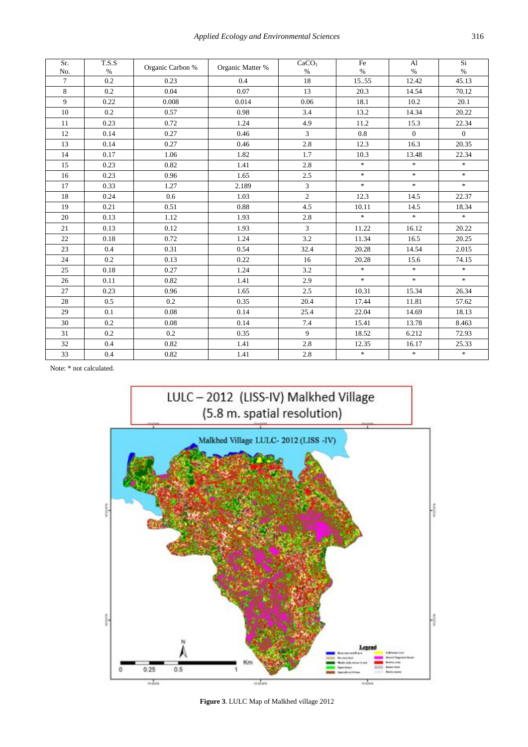| Sr.<br>No. | T.S.S<br>$\%$ | Organic Carbon % | Organic Matter % | CaCO <sub>3</sub><br>$\%$ | Fe<br>$\%$ | Al<br>$\%$     | Si<br>$\%$                |
|------------|---------------|------------------|------------------|---------------------------|------------|----------------|---------------------------|
| $\tau$     | 0.2           | 0.23             | 0.4              | 18                        | 1555       | 12.42          | 45.13                     |
| 8          | 0.2           | 0.04             | 0.07             | 13                        | 20.3       | 14.54          | 70.12                     |
| 9          | 0.22          | 0.008            | 0.014            | 0.06                      | 18.1       | 10.2           | 20.1                      |
| 10         | 0.2           | 0.57             | 0.98             | 3.4                       | 13.2       | 14.34          | 20.22                     |
| 11         | 0.23          | 0.72             | 1.24             | 4.9                       | 11.2       | 15.3           | 22.34                     |
| 12         | 0.14          | 0.27             | 0.46             | 3                         | $0.8\,$    | $\overline{0}$ | $\overline{0}$            |
| 13         | 0.14          | 0.27             | 0.46             | $2.8\,$                   | 12.3       | 16.3           | 20.35                     |
| 14         | 0.17          | 1.06             | 1.82             | 1.7                       | 10.3       | 13.48          | 22.34                     |
| 15         | 0.23          | 0.82             | 1.41             | 2.8                       | $\ast$     | $\approx$      | $\pm$                     |
| 16         | 0.23          | 0.96             | 1.65             | 2.5                       | $\ast$     | $\ast$         | $\gg$                     |
| 17         | 0.33          | 1.27             | 2.189            | $\mathfrak{Z}$            | $\ast$     | $\ast$         | $\ensuremath{\mathbf{x}}$ |
| 18         | 0.24          | 0.6              | 1.03             | $\overline{c}$            | 12.3       | 14.5           | 22.37                     |
| 19         | 0.21          | 0.51             | 0.88             | 4.5                       | 10.11      | 14.5           | 18.34                     |
| 20         | 0.13          | 1.12             | 1.93             | 2.8                       | $\ast$     | $\ast$         | $\#$                      |
| 21         | 0.13          | 0.12             | 1.93             | $\overline{3}$            | 11.22      | 16.12          | 20.22                     |
| 22         | 0.18          | 0.72             | 1.24             | 3.2                       | 11.34      | 16.5           | 20.25                     |
| 23         | 0.4           | 0.31             | 0.54             | 32.4                      | 20.28      | 14.54          | 2.015                     |
| 24         | 0.2           | 0.13             | 0.22             | 16                        | 20.28      | 15.6           | 74.15                     |
| 25         | 0.18          | 0.27             | 1.24             | 3.2                       | $\ast$     | $\approx$      | $\pm$                     |
| 26         | 0.11          | 0.82             | 1.41             | 2.9                       | $\ast$     | $\ast$         | $\star$                   |
| 27         | 0.23          | 0.96             | 1.65             | 2.5                       | 10.31      | 15.34          | 26.34                     |
| 28         | 0.5           | 0.2              | 0.35             | 20.4                      | 17.44      | 11.81          | 57.62                     |
| 29         | 0.1           | 0.08             | 0.14             | 25.4                      | 22.04      | 14.69          | 18.13                     |
| 30         | 0.2           | 0.08             | 0.14             | 7.4                       | 15.41      | 13.78          | 8.463                     |
| 31         | 0.2           | 0.2              | 0.35             | 9                         | 18.52      | 6.212          | 72.93                     |
| 32         | 0.4           | 0.82             | 1.41             | 2.8                       | 12.35      | 16.17          | 25.33                     |
| 33         | 0.4           | 0.82             | 1.41             | 2.8                       | $\ast$     | $\ast$         | $\frac{1}{2}$             |

<span id="page-4-0"></span>Note: \* not calculated.



**Figure 3**. LULC Map of Malkhed village 2012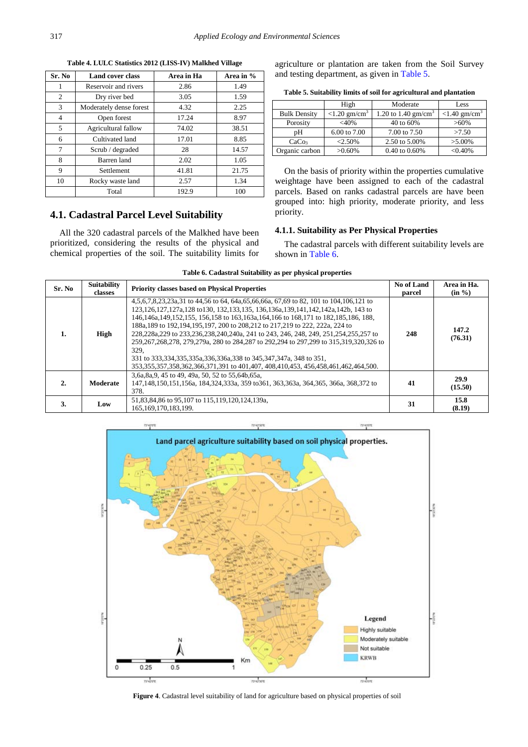<span id="page-5-0"></span>

| Sr. No | <b>Land cover class</b> | Area in Ha | Area in % |
|--------|-------------------------|------------|-----------|
| 1      | Reservoir and rivers    | 2.86       | 1.49      |
| 2      | Dry river bed           | 3.05       | 1.59      |
| 3      | Moderately dense forest | 4.32       | 2.25      |
| 4      | Open forest             | 17.24      | 8.97      |
| 5      | Agricultural fallow     | 74.02      | 38.51     |
| 6      | Cultivated land         | 17.01      | 8.85      |
| 7      | Scrub / degraded        | 28         | 14.57     |
| 8      | Barren land             | 2.02       | 1.05      |
| 9      | Settlement              | 41.81      | 21.75     |
| 10     | Rocky waste land        | 2.57       | 1.34      |
|        | Total                   | 192.9      | 100       |

**Table 4. LULC Statistics 2012 (LISS-IV) Malkhed Village**

#### **4.1. Cadastral Parcel Level Suitability**

All the 320 cadastral parcels of the Malkhed have been prioritized, considering the results of the physical and chemical properties of the soil. The suitability limits for agriculture or plantation are taken from the Soil Survey and testing department, as given in [Table 5.](#page-5-1)

|  | Table 5. Suitability limits of soil for agricultural and plantation |  |  |  |
|--|---------------------------------------------------------------------|--|--|--|
|--|---------------------------------------------------------------------|--|--|--|

<span id="page-5-1"></span>

|                     | High                        | Moderate                      | Less                        |
|---------------------|-----------------------------|-------------------------------|-----------------------------|
| <b>Bulk Density</b> | $< 1.20$ gm/cm <sup>3</sup> | 1.20 to 1.40 $\text{gm/cm}^3$ | $< 1.40$ gm/cm <sup>3</sup> |
| Porosity            | $<$ 40%                     | 40 to 60%                     | $>60\%$                     |
| pΗ                  | 6.00 to 7.00                | 7.00 to 7.50                  | >7.50                       |
| CaCo <sub>3</sub>   | $<2.50\%$                   | 2.50 to 5.00%                 | $>5.00\%$                   |
| Organic carbon      | $>0.60\%$                   | 0.40 to 0.60%                 | $< 0.40\%$                  |

On the basis of priority within the properties cumulative weightage have been assigned to each of the cadastral parcels. Based on ranks cadastral parcels are have been grouped into: high priority, moderate priority, and less priority.

## **4.1.1. Suitability as Per Physical Properties**

The cadastral parcels with different suitability levels are shown in [Table 6.](#page-5-2)

<span id="page-5-2"></span>

| Sr. No | <b>Suitability</b><br>classes | <b>Priority classes based on Physical Properties</b>                                                                                                                                                                                                                                                                                                                                                                                                                                                                                                                                                                                                                                                                                      | No of Land<br>parcel | Area in Ha.<br>$(in \frac{9}{6})$ |
|--------|-------------------------------|-------------------------------------------------------------------------------------------------------------------------------------------------------------------------------------------------------------------------------------------------------------------------------------------------------------------------------------------------------------------------------------------------------------------------------------------------------------------------------------------------------------------------------------------------------------------------------------------------------------------------------------------------------------------------------------------------------------------------------------------|----------------------|-----------------------------------|
| 1.     | High                          | 4, 5, 6, 7, 8, 23, 23, 23, 31 to 44, 56 to 64, 64a, 65, 66, 66a, 67, 69 to 82, 101 to 104, 106, 121 to<br>123, 126, 127, 127a, 128 to 130, 132, 133, 135, 136, 136, 139, 141, 142, 142a, 142b, 143 to<br>146,146a,149,152,155, 156,158 to 163,163a,164,166 to 168,171 to 182,185,186, 188,<br>188a, 189 to 192, 194, 195, 197, 200 to 208, 212 to 217, 219 to 222, 222a, 224 to<br>228,228a,229 to 233,236,238,240,240a, 241 to 243, 246, 248, 249, 251,254,255,257 to<br>259.267.268.278, 279.279a, 280 to 284.287 to 292.294 to 297.299 to 315.319.320.326 to<br>329.<br>331 to 333, 334, 335, 335a, 336, 336a, 338 to 345, 347, 347a, 348 to 351,<br>353,355,357,358,362,366,371,391 to 401,407, 408,410,453, 456,458,461,462,464,500. | 248                  | 147.2<br>(76.31)                  |
| 2.     | Moderate                      | 3,6a,8a,9, 45 to 49, 49a, 50, 52 to 55,64b,65a,<br>147,148,150,151,156a, 184,324,333a, 359 to 361, 363,363a, 364,365, 366a, 368,372 to<br>378.                                                                                                                                                                                                                                                                                                                                                                                                                                                                                                                                                                                            | 41                   | 29.9<br>(15.50)                   |
| 3.     | Low                           | 51,83,84,86 to 95,107 to 115,119,120,124,139a,<br>165.169.170.183.199.                                                                                                                                                                                                                                                                                                                                                                                                                                                                                                                                                                                                                                                                    | 31                   | 15.8<br>(8.19)                    |

<span id="page-5-3"></span>

**Figure 4**. Cadastral level suitability of land for agriculture based on physical properties of soil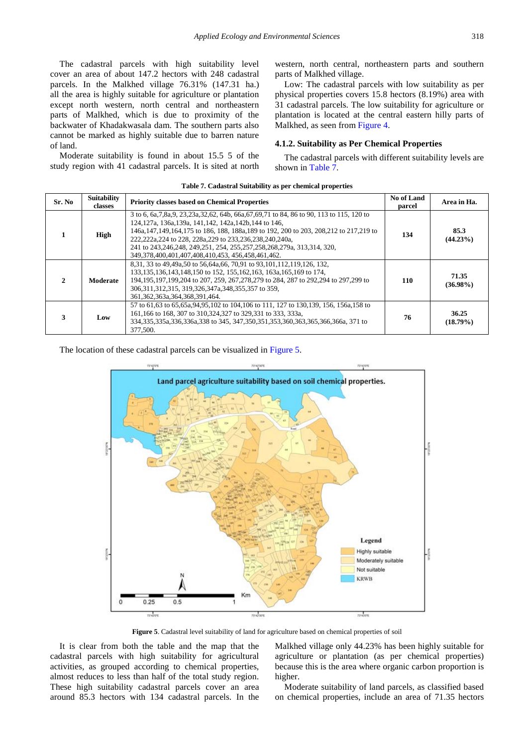The cadastral parcels with high suitability level cover an area of about 147.2 hectors with 248 cadastral parcels. In the Malkhed village 76.31% (147.31 ha.) all the area is highly suitable for agriculture or plantation except north western, north central and northeastern parts of Malkhed, which is due to proximity of the backwater of Khadakwasala dam. The southern parts also cannot be marked as highly suitable due to barren nature of land.

Moderate suitability is found in about 15.5 5 of the study region with 41 cadastral parcels. It is sited at north western, north central, northeastern parts and southern parts of Malkhed village.

Low: The cadastral parcels with low suitability as per physical properties covers 15.8 hectors (8.19%) area with 31 cadastral parcels. The low suitability for agriculture or plantation is located at the central eastern hilly parts of Malkhed, as seen from [Figure 4.](#page-5-3)

#### **4.1.2. Suitability as Per Chemical Properties**

The cadastral parcels with different suitability levels are shown in [Table 7.](#page-6-0) 

<span id="page-6-0"></span>

| Table 7. Cadastral Suitability as per chemical properties |                               |                                                                                                                                                                                                                                                                                                                                                                                                                                                                    |                      |                      |  |  |  |
|-----------------------------------------------------------|-------------------------------|--------------------------------------------------------------------------------------------------------------------------------------------------------------------------------------------------------------------------------------------------------------------------------------------------------------------------------------------------------------------------------------------------------------------------------------------------------------------|----------------------|----------------------|--|--|--|
| Sr. No                                                    | <b>Suitability</b><br>classes | <b>Priority classes based on Chemical Properties</b>                                                                                                                                                                                                                                                                                                                                                                                                               | No of Land<br>parcel | Area in Ha.          |  |  |  |
|                                                           | High                          | 3 to 6, 6a, 7, 8a, 9, 23, 23a, 32, 62, 64b, 66a, 67, 69, 71 to 84, 86 to 90, 113 to 115, 120 to<br>124.127a, 136a, 139a, 141.142, 142a, 142b, 144 to 146.<br>146a, 147, 149, 164, 175 to 186, 188, 188a, 189 to 192, 200 to 203, 208, 212 to 217, 219 to<br>222.222a.224 to 228, 228a.229 to 233.236.238.240.240a.<br>241 to 243, 246, 248, 249, 251, 254, 255, 257, 258, 268, 279a, 313, 314, 320,<br>349, 378, 400, 401, 407, 408, 410, 453, 456, 458, 461, 462. | 134                  | 85.3<br>$(44.23\%)$  |  |  |  |
|                                                           | Moderate                      | 8.31, 33 to 49.49a.50 to 56.64a.66, 70.91 to 93.101.112.119.126, 132.<br>133, 135, 136, 143, 148, 150 to 152, 155, 162, 163, 163a, 165, 169 to 174,<br>194,195,197,199,204 to 207, 259, 267,278,279 to 284, 287 to 292,294 to 297,299 to<br>306, 311, 312, 315, 319, 326, 347a, 348, 355, 357 to 359,<br>361.362.363a.364.368.391.464.                                                                                                                             | 110                  | 71.35<br>$(36.98\%)$ |  |  |  |
| 3                                                         | Low                           | 57 to 61,63 to 65,65a,94,95,102 to 104,106 to 111, 127 to 130,139, 156, 156a,158 to<br>161,166 to 168, 307 to 310,324,327 to 329,331 to 333, 333a,<br>334, 335, 335a, 336, 336a, 338 to 345, 347, 350, 351, 353, 360, 363, 365, 366a, 366a, 371 to<br>377.500.                                                                                                                                                                                                     | 76                   | 36.25<br>$(18.79\%)$ |  |  |  |

<span id="page-6-1"></span>The location of these cadastral parcels can be visualized in [Figure 5.](#page-6-1)



**Figure 5**. Cadastral level suitability of land for agriculture based on chemical properties of soil

It is clear from both the table and the map that the cadastral parcels with high suitability for agricultural activities, as grouped according to chemical properties, almost reduces to less than half of the total study region. These high suitability cadastral parcels cover an area around 85.3 hectors with 134 cadastral parcels. In the Malkhed village only 44.23% has been highly suitable for agriculture or plantation (as per chemical properties) because this is the area where organic carbon proportion is higher.

Moderate suitability of land parcels, as classified based on chemical properties, include an area of 71.35 hectors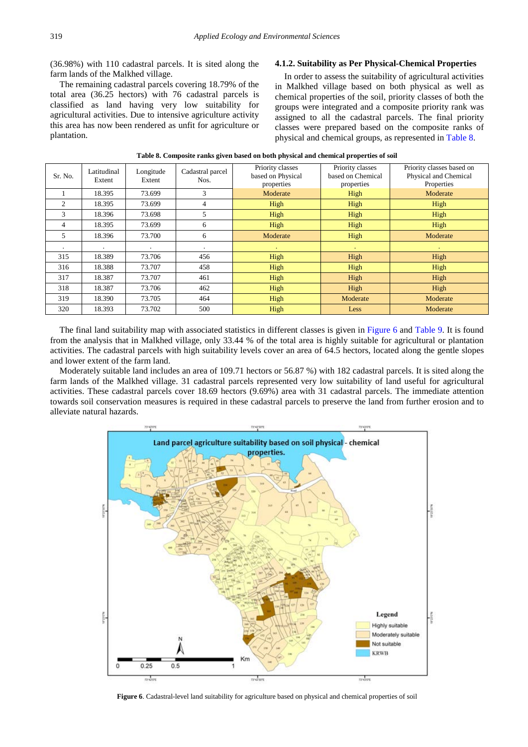(36.98%) with 110 cadastral parcels. It is sited along the farm lands of the Malkhed village.

The remaining cadastral parcels covering 18.79% of the total area (36.25 hectors) with 76 cadastral parcels is classified as land having very low suitability for agricultural activities. Due to intensive agriculture activity this area has now been rendered as unfit for agriculture or plantation.

#### **4.1.2. Suitability as Per Physical-Chemical Properties**

In order to assess the suitability of agricultural activities in Malkhed village based on both physical as well as chemical properties of the soil, priority classes of both the groups were integrated and a composite priority rank was assigned to all the cadastral parcels. The final priority classes were prepared based on the composite ranks of physical and chemical groups, as represented in [Table 8.](#page-7-0)

<span id="page-7-0"></span>

| Sr. No. | Latitudinal<br>Extent | Longitude<br>Extent | Cadastral parcel<br>Nos. | Priority classes<br>based on Physical<br>properties | Priority classes<br>based on Chemical<br>properties | Priority classes based on<br>Physical and Chemical<br>Properties |
|---------|-----------------------|---------------------|--------------------------|-----------------------------------------------------|-----------------------------------------------------|------------------------------------------------------------------|
|         | 18.395                | 73.699              | 3                        | Moderate                                            | High                                                | Moderate                                                         |
| 2       | 18.395                | 73.699              | $\overline{4}$           | High                                                | High                                                | High                                                             |
| 3       | 18.396                | 73.698              | 5                        | High                                                | High                                                | High                                                             |
| 4       | 18.395                | 73.699              | 6                        | High                                                | High                                                | High                                                             |
| 5       | 18.396                | 73.700              | 6                        | Moderate                                            | High                                                | Moderate                                                         |
| ٠       |                       | $\cdot$             |                          | ٠                                                   |                                                     | $\mathbf{r}$                                                     |
| 315     | 18.389                | 73.706              | 456                      | High                                                | High                                                | High                                                             |
| 316     | 18.388                | 73.707              | 458                      | High                                                | High                                                | High                                                             |
| 317     | 18.387                | 73.707              | 461                      | High                                                | High                                                | High                                                             |
| 318     | 18.387                | 73.706              | 462                      | High                                                | High                                                | High                                                             |
| 319     | 18.390                | 73.705              | 464                      | High                                                | Moderate                                            | Moderate                                                         |
| 320     | 18.393                | 73.702              | 500                      | High                                                | Less                                                | Moderate                                                         |

#### **Table 8. Composite ranks given based on both physical and chemical properties of soil**

The final land suitability map with associated statistics in different classes is given in [Figure 6](#page-7-1) and [Table 9.](#page-8-5) It is found from the analysis that in Malkhed village, only 33.44 % of the total area is highly suitable for agricultural or plantation activities. The cadastral parcels with high suitability levels cover an area of 64.5 hectors, located along the gentle slopes and lower extent of the farm land.

Moderately suitable land includes an area of 109.71 hectors or 56.87 %) with 182 cadastral parcels. It is sited along the farm lands of the Malkhed village. 31 cadastral parcels represented very low suitability of land useful for agricultural activities. These cadastral parcels cover 18.69 hectors (9.69%) area with 31 cadastral parcels. The immediate attention towards soil conservation measures is required in these cadastral parcels to preserve the land from further erosion and to alleviate natural hazards.

<span id="page-7-1"></span>

**Figure 6**. Cadastral-level land suitability for agriculture based on physical and chemical properties of soil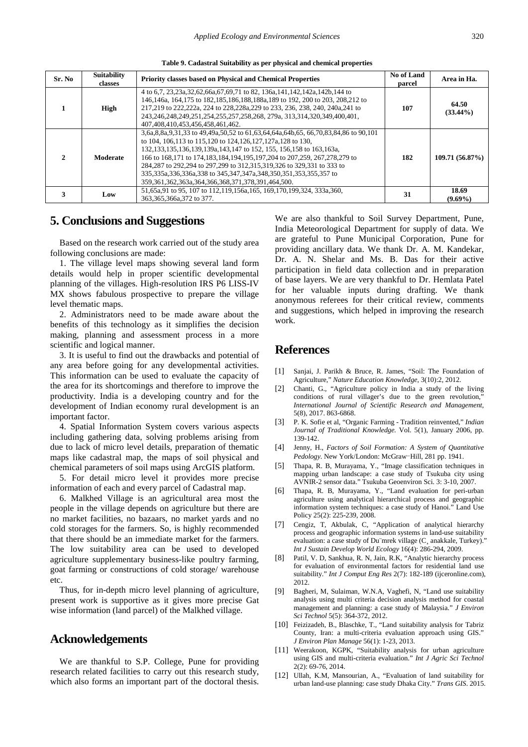**Table 9. Cadastral Suitability as per physical and chemical properties**

<span id="page-8-5"></span>

| Sr. No | <b>Suitability</b><br>classes | <b>Priority classes based on Physical and Chemical Properties</b>                                                                                                                                                                                                                                                                                                                                                                                                                                           | No of Land<br>parcel | Area in Ha.          |
|--------|-------------------------------|-------------------------------------------------------------------------------------------------------------------------------------------------------------------------------------------------------------------------------------------------------------------------------------------------------------------------------------------------------------------------------------------------------------------------------------------------------------------------------------------------------------|----------------------|----------------------|
|        | High                          | 4 to 6.7, 23, 23a, 32, 62, 66a, 67, 69, 71 to 82, 136a, 141, 142, 142a, 142b, 144 to<br>146.146a, 164.175 to 182.185.186.188.188a,189 to 192, 200 to 203, 208.212 to<br>217,219 to 222,222a, 224 to 228,228a,229 to 233, 236, 238, 240, 240a,241 to<br>243,246,248,249,251,254,255,257,258,268, 279a, 313,314,320,349,400,401,<br>407,408,410,453,456,458,461,462.                                                                                                                                          | 107                  | 64.50<br>$(33.44\%)$ |
|        | Moderate                      | 3,6a,8,8a,9,31,33 to 49,49a,50,52 to 61,63,64,64a,64b,65, 66,70,83,84,86 to 90,101<br>to 104, 106, 113 to 115, 120 to 124, 126, 127, 127 a, 128 to 130.<br>132,133,135,136,139,139a,143,147 to 152, 155, 156,158 to 163,163a,<br>166 to 168,171 to 174,183,184,194,195,197,204 to 207,259, 267,278,279 to<br>284,287 to 292,294 to 297,299 to 312,315,319,326 to 329,331 to 333 to<br>335,335a,336,336a,338 to 345,347,347a,348,350,351,353,355,357 to<br>359,361,362,363a,364,366,368,371,378,391,464,500. | 182                  | 109.71(56.87%)       |
|        | Low                           | 51.65a.91 to 95, 107 to 112.119.156a.165, 169.170.199.324, 333a.360.<br>363, 365, 366a, 372 to 377.                                                                                                                                                                                                                                                                                                                                                                                                         | 31                   | 18.69<br>$(9.69\%)$  |

## **5. Conclusions and Suggestions**

Based on the research work carried out of the study area following conclusions are made:

1. The village level maps showing several land form details would help in proper scientific developmental planning of the villages. High-resolution IRS P6 LISS-IV MX shows fabulous prospective to prepare the village level thematic maps.

2. Administrators need to be made aware about the benefits of this technology as it simplifies the decision making, planning and assessment process in a more scientific and logical manner.

3. It is useful to find out the drawbacks and potential of any area before going for any developmental activities. This information can be used to evaluate the capacity of the area for its shortcomings and therefore to improve the productivity. India is a developing country and for the development of Indian economy rural development is an important factor.

4. Spatial Information System covers various aspects including gathering data, solving problems arising from due to lack of micro level details, preparation of thematic maps like cadastral map, the maps of soil physical and chemical parameters of soil maps using ArcGIS platform.

5. For detail micro level it provides more precise information of each and every parcel of Cadastral map.

6. Malkhed Village is an agricultural area most the people in the village depends on agriculture but there are no market facilities, no bazaars, no market yards and no cold storages for the farmers. So, is highly recommended that there should be an immediate market for the farmers. The low suitability area can be used to developed agriculture supplementary business-like poultry farming, goat farming or constructions of cold storage/ warehouse etc.

Thus, for in-depth micro level planning of agriculture, present work is supportive as it gives more precise Gat wise information (land parcel) of the Malkhed village.

### **Acknowledgements**

We are thankful to S.P. College, Pune for providing research related facilities to carry out this research study, which also forms an important part of the doctoral thesis.

We are also thankful to Soil Survey Department, Pune, India Meteorological Department for supply of data. We are grateful to Pune Municipal Corporation, Pune for providing ancillary data. We thank Dr. A. M. Kandekar, Dr. A. N. Shelar and Ms. B. Das for their active participation in field data collection and in preparation of base layers. We are very thankful to Dr. Hemlata Patel for her valuable inputs during drafting. We thank anonymous referees for their critical review, comments and suggestions, which helped in improving the research work.

# **References**

- <span id="page-8-0"></span>[1] Sanjai, J. Parikh & Bruce, R. James, "Soil: The Foundation of Agriculture," *Nature Education Knowledge*, 3(10):2, 2012.
- <span id="page-8-1"></span>[2] Chanti, G., "Agriculture policy in India a study of the living conditions of rural villager's due to the green revolution, *International Journal of Scientific Research and Management*, 5(8), 2017. 863-6868.
- <span id="page-8-2"></span>[3] P. K. Sofie et al, "Organic Farming - Tradition reinvented," *Indian Journal of Traditional Knowledge.* Vol. 5(1), January 2006, pp. 139-142.
- <span id="page-8-3"></span>[4] Jenny, H., *Factors of Soil Formation: A System of Quantitative Pedology*. New York/London: McGraw-Hill, 281 pp. 1941.
- <span id="page-8-4"></span>[5] Thapa, R. B, Murayama, Y., "Image classification techniques in mapping urban landscape: a case study of Tsukuba city using AVNIR-2 sensor data." Tsukuba Geoenviron Sci. 3: 3-10, 2007.
- [6] Thapa, R. B, Murayama, Y., "Land evaluation for peri-urban agriculture using analytical hierarchical process and geographic information system techniques: a case study of Hanoi." Land Use Policy 25(2): 225-239, 2008.
- [7] Cengiz, T, Akbulak, C, "Application of analytical hierarchy process and geographic information systems in land-use suitability evaluation: a case study of Du mrek village (C anakkale, Turkey). *Int J Sustain Develop World Ecology* 16(4): 286-294, 2009.
- [8] Patil, V. D, Sankhua, R. N, Jain, R.K, "Analytic hierarchy process for evaluation of environmental factors for residential land use suitability." *Int J Comput Eng Res* 2(7): 182-189 (ijceronline.com), 2012.
- [9] Bagheri, M, Sulaiman, W.N.A, Vaghefi, N, "Land use suitability analysis using multi criteria decision analysis method for coastal management and planning: a case study of Malaysia." *J Environ Sci Technol* 5(5): 364-372, 2012.
- [10] Feizizadeh, B., Blaschke, T., "Land suitability analysis for Tabriz County, Iran: a multi-criteria evaluation approach using GIS." *J Environ Plan Manage* 56(1): 1-23, 2013.
- [11] Weerakoon, KGPK, "Suitability analysis for urban agriculture using GIS and multi-criteria evaluation." *Int J Agric Sci Technol* 2(2): 69-76, 2014.
- [12] Ullah, K.M, Mansourian, A., "Evaluation of land suitability for urban land-use planning: case study Dhaka City." *Trans GIS*. 2015.